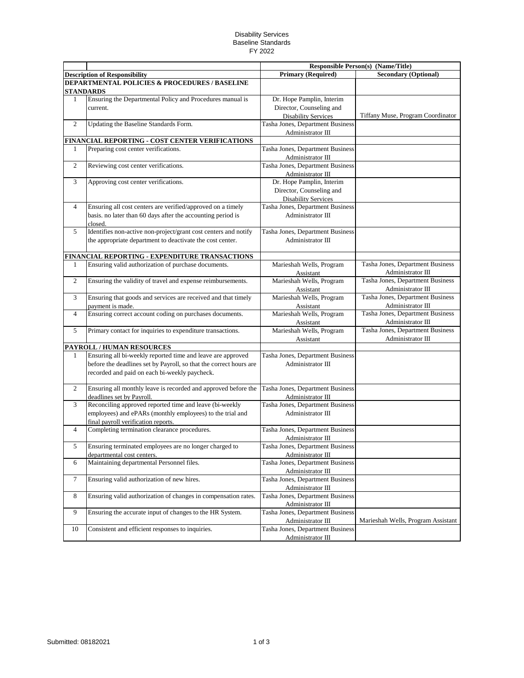## Disability Services Baseline Standards FY 2022

|                |                                                                                   | <b>Responsible Person(s) (Name/Title)</b>             |                                                       |
|----------------|-----------------------------------------------------------------------------------|-------------------------------------------------------|-------------------------------------------------------|
|                | <b>Description of Responsibility</b>                                              | <b>Primary (Required)</b>                             | <b>Secondary (Optional)</b>                           |
|                | DEPARTMENTAL POLICIES & PROCEDURES / BASELINE<br><b>STANDARDS</b>                 |                                                       |                                                       |
| $\mathbf{1}$   | Ensuring the Departmental Policy and Procedures manual is                         | Dr. Hope Pamplin, Interim                             |                                                       |
|                | current.                                                                          | Director, Counseling and                              |                                                       |
|                |                                                                                   | <b>Disability Services</b>                            | Tiffany Muse, Program Coordinator                     |
| $\overline{c}$ | Updating the Baseline Standards Form.                                             | Tasha Jones, Department Business                      |                                                       |
|                |                                                                                   | Administrator III                                     |                                                       |
|                | FINANCIAL REPORTING - COST CENTER VERIFICATIONS                                   |                                                       |                                                       |
| 1              | Preparing cost center verifications.                                              | Tasha Jones, Department Business<br>Administrator III |                                                       |
| $\overline{2}$ | Reviewing cost center verifications.                                              | Tasha Jones, Department Business                      |                                                       |
|                |                                                                                   | Administrator III                                     |                                                       |
| 3              | Approving cost center verifications.                                              | Dr. Hope Pamplin, Interim                             |                                                       |
|                |                                                                                   | Director, Counseling and                              |                                                       |
|                |                                                                                   | Disability Services                                   |                                                       |
| $\overline{4}$ | Ensuring all cost centers are verified/approved on a timely                       | Tasha Jones, Department Business                      |                                                       |
|                | basis. no later than 60 days after the accounting period is                       | Administrator III                                     |                                                       |
|                | closed.                                                                           |                                                       |                                                       |
| 5              | Identifies non-active non-project/grant cost centers and notify                   | Tasha Jones, Department Business                      |                                                       |
|                | the appropriate department to deactivate the cost center.                         | Administrator III                                     |                                                       |
|                |                                                                                   |                                                       |                                                       |
|                | FINANCIAL REPORTING - EXPENDITURE TRANSACTIONS                                    |                                                       |                                                       |
| 1              | Ensuring valid authorization of purchase documents.                               | Marieshah Wells, Program                              | Tasha Jones, Department Business                      |
|                |                                                                                   | Assistant                                             | Administrator III                                     |
| 2              | Ensuring the validity of travel and expense reimbursements.                       | Marieshah Wells, Program                              | Tasha Jones, Department Business                      |
| 3              |                                                                                   | Assistant<br>Marieshah Wells, Program                 | Administrator III<br>Tasha Jones, Department Business |
|                | Ensuring that goods and services are received and that timely<br>payment is made. |                                                       | Administrator III                                     |
| $\overline{4}$ | Ensuring correct account coding on purchases documents.                           | Assistant<br>Marieshah Wells, Program                 | Tasha Jones, Department Business                      |
|                |                                                                                   | Assistant                                             | Administrator III                                     |
| 5              | Primary contact for inquiries to expenditure transactions.                        | Marieshah Wells, Program                              | Tasha Jones, Department Business                      |
|                |                                                                                   | Assistant                                             | Administrator III                                     |
|                | PAYROLL / HUMAN RESOURCES                                                         |                                                       |                                                       |
| $\mathbf{1}$   | Ensuring all bi-weekly reported time and leave are approved                       | Tasha Jones, Department Business                      |                                                       |
|                | before the deadlines set by Payroll, so that the correct hours are                | Administrator III                                     |                                                       |
|                | recorded and paid on each bi-weekly paycheck.                                     |                                                       |                                                       |
|                |                                                                                   |                                                       |                                                       |
| 2              | Ensuring all monthly leave is recorded and approved before the                    | Tasha Jones, Department Business                      |                                                       |
|                | deadlines set by Payroll.                                                         | Administrator III                                     |                                                       |
| 3              | Reconciling approved reported time and leave (bi-weekly                           | Tasha Jones, Department Business                      |                                                       |
|                | employees) and ePARs (monthly employees) to the trial and                         | Administrator III                                     |                                                       |
|                | final payroll verification reports.                                               |                                                       |                                                       |
| $\overline{4}$ | Completing termination clearance procedures.                                      | Tasha Jones, Department Business                      |                                                       |
| 5              | Ensuring terminated employees are no longer charged to                            | Administrator III<br>Tasha Jones, Department Business |                                                       |
|                | departmental cost centers.                                                        | Administrator III                                     |                                                       |
| 6              | Maintaining departmental Personnel files.                                         | Tasha Jones, Department Business                      |                                                       |
|                |                                                                                   | Administrator III                                     |                                                       |
| $\tau$         | Ensuring valid authorization of new hires.                                        | Tasha Jones, Department Business                      |                                                       |
|                |                                                                                   | Administrator III                                     |                                                       |
| $8\,$          | Ensuring valid authorization of changes in compensation rates.                    | Tasha Jones, Department Business                      |                                                       |
|                |                                                                                   | Administrator III                                     |                                                       |
| 9              | Ensuring the accurate input of changes to the HR System.                          | Tasha Jones, Department Business                      |                                                       |
|                |                                                                                   | Administrator III                                     | Marieshah Wells, Program Assistant                    |
| 10             | Consistent and efficient responses to inquiries.                                  | Tasha Jones, Department Business                      |                                                       |
|                |                                                                                   | Administrator III                                     |                                                       |
|                |                                                                                   |                                                       |                                                       |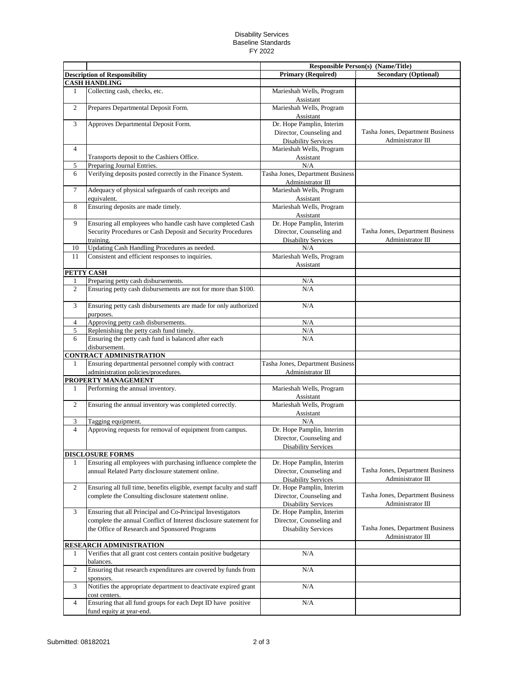## Disability Services Baseline Standards FY 2022

|                                                              |                                                                                                                             |                                                                                     | <b>Responsible Person(s) (Name/Title)</b>             |
|--------------------------------------------------------------|-----------------------------------------------------------------------------------------------------------------------------|-------------------------------------------------------------------------------------|-------------------------------------------------------|
| <b>Description of Responsibility</b><br><b>CASH HANDLING</b> |                                                                                                                             | <b>Primary (Required)</b>                                                           | <b>Secondary (Optional)</b>                           |
| 1                                                            | Collecting cash, checks, etc.                                                                                               | Marieshah Wells, Program<br>Assistant                                               |                                                       |
| $\overline{c}$                                               | Prepares Departmental Deposit Form.                                                                                         | Marieshah Wells, Program<br>Assistant                                               |                                                       |
| 3                                                            | Approves Departmental Deposit Form.                                                                                         | Dr. Hope Pamplin, Interim<br>Director, Counseling and<br><b>Disability Services</b> | Tasha Jones, Department Business<br>Administrator III |
| $\overline{4}$                                               | Transports deposit to the Cashiers Office.                                                                                  | Marieshah Wells, Program<br>Assistant                                               |                                                       |
| 5                                                            | Preparing Journal Entries.                                                                                                  | N/A                                                                                 |                                                       |
| 6                                                            | Verifying deposits posted correctly in the Finance System.                                                                  | Tasha Jones, Department Business<br>Administrator III                               |                                                       |
| $\overline{7}$                                               | Adequacy of physical safeguards of cash receipts and<br>equivalent.                                                         | Marieshah Wells, Program<br>Assistant                                               |                                                       |
| 8                                                            | Ensuring deposits are made timely.                                                                                          | Marieshah Wells, Program<br>Assistant                                               |                                                       |
| 9                                                            | Ensuring all employees who handle cash have completed Cash                                                                  | Dr. Hope Pamplin, Interim                                                           |                                                       |
|                                                              | Security Procedures or Cash Deposit and Security Procedures                                                                 | Director, Counseling and                                                            | Tasha Jones, Department Business                      |
|                                                              | training.                                                                                                                   | <b>Disability Services</b>                                                          | Administrator III                                     |
| 10                                                           | Updating Cash Handling Procedures as needed.                                                                                | N/A                                                                                 |                                                       |
| 11                                                           | Consistent and efficient responses to inquiries.                                                                            | Marieshah Wells, Program                                                            |                                                       |
|                                                              | PETTY CASH                                                                                                                  | Assistant                                                                           |                                                       |
| 1                                                            | Preparing petty cash disbursements.                                                                                         | N/A                                                                                 |                                                       |
| $\overline{c}$                                               | Ensuring petty cash disbursements are not for more than \$100.                                                              | N/A                                                                                 |                                                       |
| 3                                                            | Ensuring petty cash disbursements are made for only authorized<br>purposes.                                                 | N/A                                                                                 |                                                       |
| 4                                                            | Approving petty cash disbursements.                                                                                         | N/A                                                                                 |                                                       |
| 5                                                            | Replenishing the petty cash fund timely.                                                                                    | N/A                                                                                 |                                                       |
| 6                                                            | Ensuring the petty cash fund is balanced after each<br>disbursement.                                                        | N/A                                                                                 |                                                       |
|                                                              | <b>CONTRACT ADMINISTRATION</b>                                                                                              |                                                                                     |                                                       |
| $\mathbf{1}$                                                 | Ensuring departmental personnel comply with contract<br>administration policies/procedures.                                 | Tasha Jones, Department Business<br>Administrator III                               |                                                       |
|                                                              | PROPERTY MANAGEMENT                                                                                                         |                                                                                     |                                                       |
| 1                                                            | Performing the annual inventory.                                                                                            | Marieshah Wells, Program<br>Assistant                                               |                                                       |
| $\overline{c}$                                               | Ensuring the annual inventory was completed correctly.                                                                      | Marieshah Wells, Program<br>Assistant                                               |                                                       |
| 3                                                            | Tagging equipment.                                                                                                          | N/A                                                                                 |                                                       |
| 4                                                            | Approving requests for removal of equipment from campus.                                                                    | Dr. Hope Pamplin, Interim<br>Director, Counseling and                               |                                                       |
|                                                              | <b>DISCLOSURE FORMS</b>                                                                                                     | <b>Disability Services</b>                                                          |                                                       |
| 1                                                            | Ensuring all employees with purchasing influence complete the<br>annual Related Party disclosure statement online.          | Dr. Hope Pamplin, Interim<br>Director, Counseling and<br><b>Disability Services</b> | Tasha Jones, Department Business<br>Administrator III |
| $\overline{c}$                                               | Ensuring all full time, benefits eligible, exempt faculty and staff<br>complete the Consulting disclosure statement online. | Dr. Hope Pamplin, Interim<br>Director, Counseling and                               | Tasha Jones, Department Business                      |
| 3                                                            | Ensuring that all Principal and Co-Principal Investigators                                                                  | <b>Disability Services</b><br>Dr. Hope Pamplin, Interim                             | Administrator III                                     |
|                                                              | complete the annual Conflict of Interest disclosure statement for<br>the Office of Research and Sponsored Programs          | Director, Counseling and<br><b>Disability Services</b>                              | Tasha Jones, Department Business<br>Administrator III |
|                                                              | RESEARCH ADMINISTRATION                                                                                                     |                                                                                     |                                                       |
| 1                                                            | Verifies that all grant cost centers contain positive budgetary<br>balances.                                                | N/A                                                                                 |                                                       |
| $\overline{c}$                                               | Ensuring that research expenditures are covered by funds from<br>sponsors.                                                  | $\rm N/A$                                                                           |                                                       |
| 3                                                            | Notifies the appropriate department to deactivate expired grant<br>cost centers.                                            | N/A                                                                                 |                                                       |
| 4                                                            | Ensuring that all fund groups for each Dept ID have positive<br>fund equity at year-end.                                    | N/A                                                                                 |                                                       |